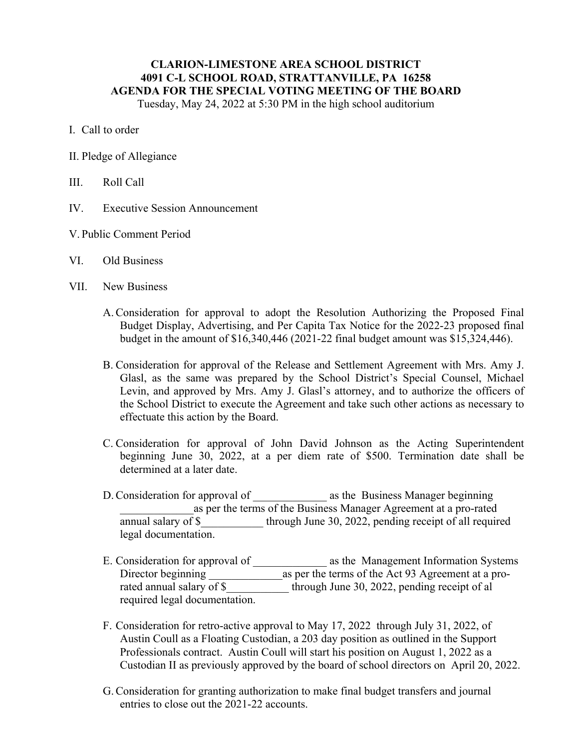## **CLARION-LIMESTONE AREA SCHOOL DISTRICT 4091 C-L SCHOOL ROAD, STRATTANVILLE, PA 16258 AGENDA FOR THE SPECIAL VOTING MEETING OF THE BOARD** Tuesday, May 24, 2022 at 5:30 PM in the high school auditorium

I. Call to order

- II. Pledge of Allegiance
- III. Roll Call
- IV. Executive Session Announcement
- V. Public Comment Period
- VI. Old Business
- VII. New Business
	- A.Consideration for approval to adopt the Resolution Authorizing the Proposed Final Budget Display, Advertising, and Per Capita Tax Notice for the 2022-23 proposed final budget in the amount of \$16,340,446 (2021-22 final budget amount was \$15,324,446).
	- B. Consideration for approval of the Release and Settlement Agreement with Mrs. Amy J. Glasl, as the same was prepared by the School District's Special Counsel, Michael Levin, and approved by Mrs. Amy J. Glasl's attorney, and to authorize the officers of the School District to execute the Agreement and take such other actions as necessary to effectuate this action by the Board.
	- C. Consideration for approval of John David Johnson as the Acting Superintendent beginning June 30, 2022, at a per diem rate of \$500. Termination date shall be determined at a later date.
	- D. Consideration for approval of  $\qquad \qquad$  as the Business Manager beginning \_\_\_\_\_\_\_\_\_\_\_\_\_as per the terms of the Business Manager Agreement at a pro-rated annual salary of \$ through June 30, 2022, pending receipt of all required legal documentation.
	- E. Consideration for approval of \_\_\_\_\_\_\_\_\_\_\_\_\_\_ as the Management Information Systems Director beginning \_\_\_\_\_\_\_\_\_\_\_\_\_as per the terms of the Act 93 Agreement at a prorated annual salary of \$ through June 30, 2022, pending receipt of al required legal documentation.
	- F. Consideration for retro-active approval to May 17, 2022 through July 31, 2022, of Austin Coull as a Floating Custodian, a 203 day position as outlined in the Support Professionals contract. Austin Coull will start his position on August 1, 2022 as a Custodian II as previously approved by the board of school directors on April 20, 2022.
	- G.Consideration for granting authorization to make final budget transfers and journal entries to close out the 2021-22 accounts.